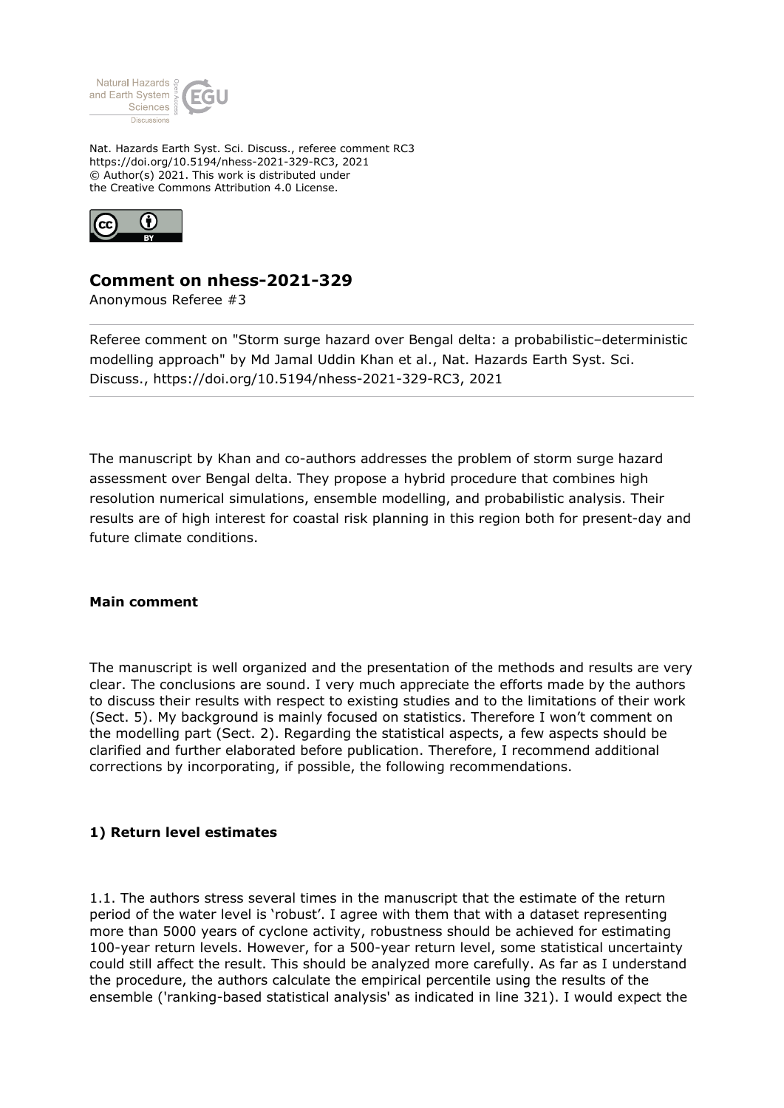

Nat. Hazards Earth Syst. Sci. Discuss., referee comment RC3 https://doi.org/10.5194/nhess-2021-329-RC3, 2021 © Author(s) 2021. This work is distributed under the Creative Commons Attribution 4.0 License.



# **Comment on nhess-2021-329**

Anonymous Referee #3

Referee comment on "Storm surge hazard over Bengal delta: a probabilistic–deterministic modelling approach" by Md Jamal Uddin Khan et al., Nat. Hazards Earth Syst. Sci. Discuss., https://doi.org/10.5194/nhess-2021-329-RC3, 2021

The manuscript by Khan and co-authors addresses the problem of storm surge hazard assessment over Bengal delta. They propose a hybrid procedure that combines high resolution numerical simulations, ensemble modelling, and probabilistic analysis. Their results are of high interest for coastal risk planning in this region both for present-day and future climate conditions.

### **Main comment**

The manuscript is well organized and the presentation of the methods and results are very clear. The conclusions are sound. I very much appreciate the efforts made by the authors to discuss their results with respect to existing studies and to the limitations of their work (Sect. 5). My background is mainly focused on statistics. Therefore I won't comment on the modelling part (Sect. 2). Regarding the statistical aspects, a few aspects should be clarified and further elaborated before publication. Therefore, I recommend additional corrections by incorporating, if possible, the following recommendations.

## **1) Return level estimates**

1.1. The authors stress several times in the manuscript that the estimate of the return period of the water level is 'robust'. I agree with them that with a dataset representing more than 5000 years of cyclone activity, robustness should be achieved for estimating 100-year return levels. However, for a 500-year return level, some statistical uncertainty could still affect the result. This should be analyzed more carefully. As far as I understand the procedure, the authors calculate the empirical percentile using the results of the ensemble ('ranking-based statistical analysis' as indicated in line 321). I would expect the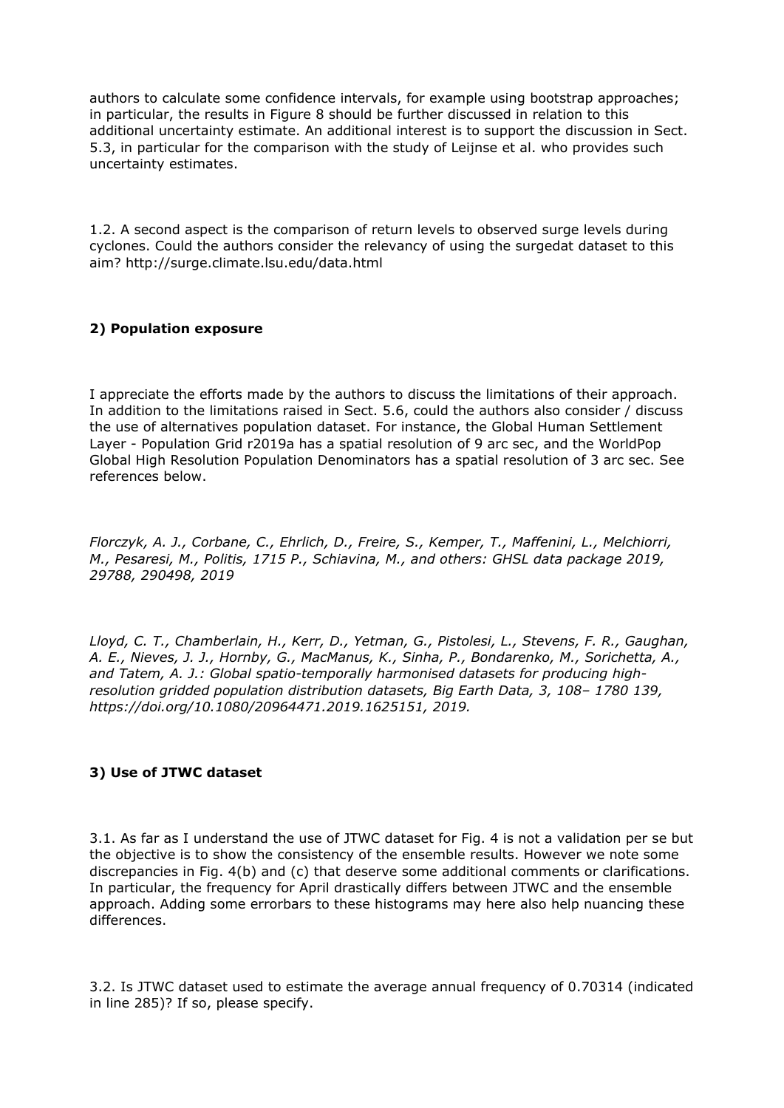authors to calculate some confidence intervals, for example using bootstrap approaches; in particular, the results in Figure 8 should be further discussed in relation to this additional uncertainty estimate. An additional interest is to support the discussion in Sect. 5.3, in particular for the comparison with the study of Leijnse et al. who provides such uncertainty estimates.

1.2. A second aspect is the comparison of return levels to observed surge levels during cyclones. Could the authors consider the relevancy of using the surgedat dataset to this aim? http://surge.climate.lsu.edu/data.html

## **2) Population exposure**

I appreciate the efforts made by the authors to discuss the limitations of their approach. In addition to the limitations raised in Sect. 5.6, could the authors also consider / discuss the use of alternatives population dataset. For instance, the Global Human Settlement Layer - Population Grid r2019a has a spatial resolution of 9 arc sec, and the WorldPop Global High Resolution Population Denominators has a spatial resolution of 3 arc sec. See references below.

*Florczyk, A. J., Corbane, C., Ehrlich, D., Freire, S., Kemper, T., Maffenini, L., Melchiorri, M., Pesaresi, M., Politis, 1715 P., Schiavina, M., and others: GHSL data package 2019, 29788, 290498, 2019*

*Lloyd, C. T., Chamberlain, H., Kerr, D., Yetman, G., Pistolesi, L., Stevens, F. R., Gaughan, A. E., Nieves, J. J., Hornby, G., MacManus, K., Sinha, P., Bondarenko, M., Sorichetta, A., and Tatem, A. J.: Global spatio-temporally harmonised datasets for producing highresolution gridded population distribution datasets, Big Earth Data, 3, 108– 1780 139, https://doi.org/10.1080/20964471.2019.1625151, 2019.*

### **3) Use of JTWC dataset**

3.1. As far as I understand the use of JTWC dataset for Fig. 4 is not a validation per se but the objective is to show the consistency of the ensemble results. However we note some discrepancies in Fig. 4(b) and (c) that deserve some additional comments or clarifications. In particular, the frequency for April drastically differs between JTWC and the ensemble approach. Adding some errorbars to these histograms may here also help nuancing these differences.

3.2. Is JTWC dataset used to estimate the average annual frequency of 0.70314 (indicated in line 285)? If so, please specify.